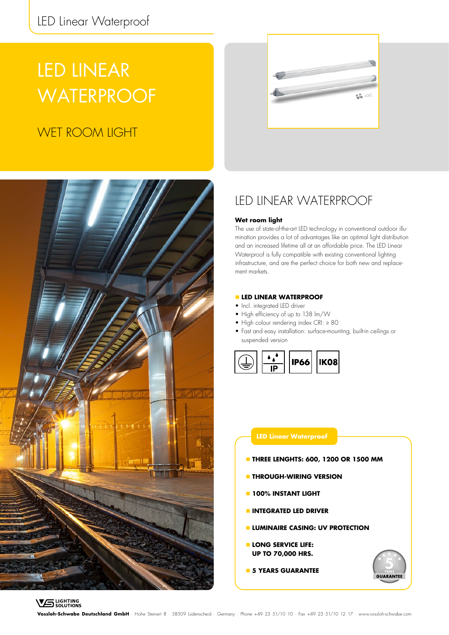# LED LINEAR **WATERPROOF**

# WET ROOM LIGHT





## LED LINEAR WATERPROOF

### **Wet room light**

The use of state-of-the-art LED technology in conventional outdoor illumination provides a lot of advantages like an optimal light distribution and an increased lifetime all at an affordable price. The LED Linear Waterproof is fully compatible with existing conventional lighting infrastructure, and are the perfect choice for both new and replacement markets.

### **LED LINEAR WATERPROOF**

- Incl. integrated LED driver
- High efficiency of up to 138 lm/W
- High colour rendering index CRI: ≥ 80
- Fast and easy installation: surface-mounting, built-in ceilings or suspended version



### **LED Linear Waterproof**

- **THREE LENGHTS: 600, 1200 OR 1500 MM**
- **THROUGH-WIRING VERSION**
- **100% INSTANT LIGHT**
- **INTEGRATED LED DRIVER**
- **LUMINAIRE CASING: UV PROTECTION**
- **LONG SERVICE LIFE: UP TO 70,000 HRS.**
- **5 YEARS GUARANTEE**



**Vossloh-Schwabe Deutschland GmbH** · Hohe Steinert 8 · 58509 Lüdenscheid · Germany · Phone +49 23 51/10 10 · Fax +49 23 51/10 12 17 · www.vossloh-schwabe.com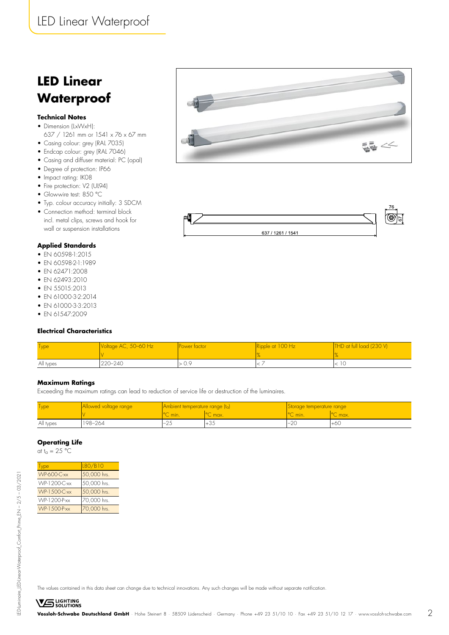# **LED Linear Waterproof**

### **Technical Notes**

- Dimension (LxWxH): 637 / 1261 mm or 1541 x 76 x 67 mm
- Casing colour: grey (RAL 7035)
- Endcap colour: grey (RAL 7046)
- Casing and diffuser material: PC (opal)
- Degree of protection: IP66
- Impact rating: IK08
- Fire protection: V2 (UL94)
- Glowwire test: 850 °C
- Typ. colour accuracy initially: 3 SDCM
- Connection method: terminal block incl. metal clips, screws and hook for wall or suspension installations

### **Applied Standards**

- EN 60598-1:2015
- FN 60598-2-1:1989
- EN 62471:2008
- EN 62493:2010
- EN 55015:2013
- EN 61000-3-2:2014
- EN 61000-3-3:2013
- EN 61547:2009

### **Electrical Characteristics**

| <b>Type</b> | Voltage AC, 50–60 Hz | Power tactor:    | Ripple at 100 Hz | THD at full load (230 V) |
|-------------|----------------------|------------------|------------------|--------------------------|
| All types   | 220–240              | 0.9 <sub>2</sub> |                  |                          |

### **Maximum Ratings**

Exceeding the maximum ratings can lead to reduction of service life or destruction of the luminaires.

| <b>Type</b> | Allowed voltage range | Ambient temperature range (ta) |        | Storage temperature range |        |
|-------------|-----------------------|--------------------------------|--------|---------------------------|--------|
|             |                       | C min.                         | L max. | C min.                    | C max. |
| All types   | 198-264               | $\sim$                         | ⊤∪≂    | $\cap$<br>'−∠∪            | $+60$  |

### **Operating Life**

at t<sub>a</sub> =  $25 \text{ °C}$ 

| Type                | L80/B10     |
|---------------------|-------------|
| <b>WP-600-C-xx</b>  | 50,000 hrs. |
| <b>WP-1200-C-xx</b> | 50,000 hrs. |
| <b>WP-1500-C-xx</b> | 50,000 hrs. |
| <b>WP-1200-P-xx</b> | 70,000 hrs. |
| <b>WP-1500-P-xx</b> | 70,000 hrs. |





LED-Luminaire\_LED-Linear-Waterproof\_Comfort\_Prime\_EN – 2/5 – 03/2021

ED-luminaire\_IED-linear-Waterproof\_Comfort\_Prime\_EN - 2/5 - 03/2021

The values contained in this data sheet can change due to technical innovations. Any such changes will be made without separate notification.

**VS** LIGHTING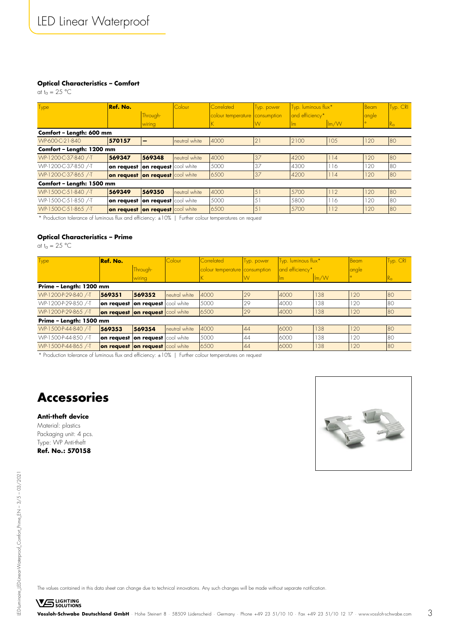### **Optical Characteristics – Comfort**

at  $t_a = 25$  °C

| Type                      | Ref. No.                         |                       | Colour        | Correlated                     | Typ. power     | Typ. luminous flux* |                          | Beam  | Typ. CRI    |
|---------------------------|----------------------------------|-----------------------|---------------|--------------------------------|----------------|---------------------|--------------------------|-------|-------------|
|                           |                                  | Through-              |               | colour temperature consumption |                | and efficiency*     |                          | angle |             |
|                           |                                  | wiring                |               |                                | W              | lm.                 | $\mathsf{Im}/\mathsf{W}$ |       | $R_{\rm G}$ |
| Comfort - Length: 600 mm  |                                  |                       |               |                                |                |                     |                          |       |             |
| WP-600-C-21-840           | 570157                           |                       | neutral white | 4000                           | 2              | 2100                | 105                      | 120   | 80          |
| Comfort - Length: 1200 mm |                                  |                       |               |                                |                |                     |                          |       |             |
| WP-1200-C-37-840 /-T      | 569347                           | 569348                | neutral white | 4000                           | 37             | 4200                | 114                      | 120   | 80          |
| WP-1200-C-37-850 /-T      | on request                       | on request cool white |               | 5000                           | 37             | 4300                | 116                      | 120   | 80          |
| WP-1200-C-37-865 /-T      | on request on request cool white |                       |               | 6500                           | 37             | 4200                | 114                      | 120   | 80          |
| Comfort - Length: 1500 mm |                                  |                       |               |                                |                |                     |                          |       |             |
| WP-1500-C-51-840 /-T      | 569349                           | 569350                | neutral white | 4000                           | $\overline{5}$ | 5700                | 112                      | 120   | 80          |
| WP-1500-C-51-850 /-T      | on request                       | on request cool white |               | 5000                           | 5.             | 5800                | 116                      | 120   | 80          |
| WP-1500-C-51-865 /-T      | on request on request cool white |                       |               | 6500                           | 51             | 5700                | 112                      | 120   | 80          |

\* Production tolerance of luminous flux and efficiency: ±10% | Further colour temperatures on request

### **Optical Characteristics – Prime**

at t<sub>a</sub> =  $25 °C$ 

| Type                    | Ref. No.                         |          | Colour        | <b>Correlated</b>              | Typ. power | Typ. luminous flux*         |         | Beam  | Typ. CRI     |
|-------------------------|----------------------------------|----------|---------------|--------------------------------|------------|-----------------------------|---------|-------|--------------|
|                         |                                  | Through- |               | colour temperature consumption |            | and efficiency <sup>*</sup> |         | angle |              |
|                         |                                  | wiring   |               |                                | W          | $\mathsf{Im}$               | $\ln/N$ |       | $R_{\alpha}$ |
| Prime - Length: 1200 mm |                                  |          |               |                                |            |                             |         |       |              |
| WP-1200-P-29-840 /-T    | 569351                           | 569352   | neutral white | 4000                           | 29         | 4000                        | 138     | 120   | 180          |
| WP-1200-P-29-850 /-T    | on request on request cool white |          |               | 5000                           | 29         | 4000                        | 138     | 120   | 180          |
| WP-1200-P-29-865 /-T    | on request on request cool white |          |               | 6500                           | 29         | 4000                        | 138     | 120   | 80           |
| Prime - Length: 1500 mm |                                  |          |               |                                |            |                             |         |       |              |
| WP-1500-P-44-840 /-T    | 569353                           | 569354   | neutral white | 4000                           | 44         | 6000                        | 138     | 120   | 180          |
| WP-1500-P-44-850 /-T    | on request on request cool white |          |               | 5000                           | 44         | 6000                        | 138     | 120   | 180          |
| WP-1500-P-44-865 /-T    | on request on request cool white |          |               | 6500                           | 44         | 6000                        | 138     | 120   | 180          |

\* Production tolerance of luminous flux and efficiency: ±10% | Further colour temperatures on request

# **Accessories**

### **Anti-theft device**

Material: plastics Packaging unit: 4 pcs. Type: WP Anti-theft **Ref. No.: 570158**



LED-Luminaire\_LED-Linear-Waterproof\_Comfort\_Prime\_EN – 3/5 – 03/2021

LED-Luminaire\_LED-Linear-Waterproof\_Comfort\_Prime\_EN - 3/5 - 03/2021

The values contained in this data sheet can change due to technical innovations. Any such changes will be made without separate notification.

**VS** LIGHTING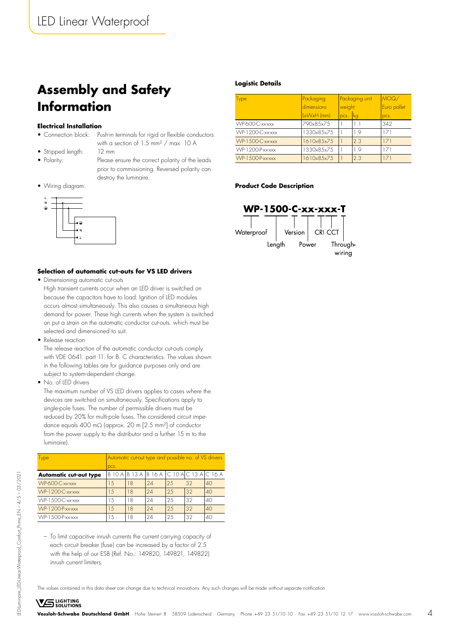# **Assembly and Safety Information**

### **Electrical Installation**

- Connection block: Push-in terminals for rigid or flexible conductors
- with a section of 1.5 mm² / max. 10 A • Stripped length: 12 mm
- 
- Polarity: Please ensure the correct polarity of the leads prior to commissioning. Reversed polarity can destroy the luminaire.
- Wiring diagram:



### **Selection of automatic cut-outs for VS LED drivers**

- Dimensioning automatic cut-outs
- High transient currents occur when an LED driver is switched on because the capacitors have to load. Ignition of LED modules occurs almost simultaneously. This also causes a simultaneous high demand for power. These high currents when the system is switched on put a strain on the automatic conductor cut-outs. which must be selected and dimensioned to suit.
- Release reaction

The release reaction of the automatic conductor cut-outs comply with VDE 0641. part 11. for B. C characteristics. The values shown in the following tables are for guidance purposes only and are subject to system-dependent change.

• No. of LED drivers

**VS** LIGHTING

The maximum number of VS LED drivers applies to cases where the devices are switched on simultaneously. Specifications apply to single-pole fuses. The number of permissible drivers must be reduced by 20% for multi-pole fuses. The considered circuit impedance equals 400 mΩ (approx. 20 m [2.5 mm²] of conductor from the power supply to the distributor and a further 15 m to the luminaire).

| <b>Type</b>                   | Automatic cut-out type and possible no. of VS drivers |    |                              |    |                            |    |  |
|-------------------------------|-------------------------------------------------------|----|------------------------------|----|----------------------------|----|--|
|                               | pcs.                                                  |    |                              |    |                            |    |  |
| <b>Automatic cut-out type</b> |                                                       |    | $B$ 10 A $ B$ 13 A $ B$ 16 A |    | $C$ 10 A $C$ 13 A $C$ 16 A |    |  |
| WP-600-C-xx-xxx               | 1.5                                                   | 18 | 24                           | 25 | 32                         | 40 |  |
| <b>WP-1200-C-xx-xxx</b>       | 1.5                                                   | 18 | 24                           | 25 | 32                         | 40 |  |
| WP-1500-C-xx-xxx              | 1.5                                                   | 8  | 24                           | 25 | 32                         | 40 |  |
| <b>WP-1200-P-xx-xxx</b>       | 1.5                                                   | 18 | 24                           | 25 | 32                         | 40 |  |
| $WP-1.500-P-xx-xxx$           | 1.5                                                   | 8  | 24                           | 25 | 32                         | 40 |  |

– To limit capacitive inrush currents the current carrying capacity of each circuit breaker (fuse) can be increased by a factor of 2.5 with the help of our ESB (Ref. No.: 149820, 149821, 149822) inrush current limiters.

The values contained in this data sheet can change due to technical innovations. Any such changes will be made without separate notification.

### **Logistic Details**

| Type                    | Packaging<br>dimensions | Packaging unit               |     | MOQ/<br>Euro pallet |
|-------------------------|-------------------------|------------------------------|-----|---------------------|
|                         | LxWxH (mm)              | weight<br><b>k</b> q<br>pcs. |     | pcs.                |
| WP-600-C-xx-xxx         | 790x85x75               |                              | 11  | 342                 |
| WP-1200-C-xx-xxx        | 1330×85×75              |                              | 19  | 171                 |
| <b>WP-1500-C-xx-xxx</b> | 1610x85x75              |                              | 2.3 | 171                 |
| WP-1200-P-xx-xxx        | 1330×85×75              |                              | 19  | 171                 |
| <b>WP-1500-P-xx-xxx</b> | 1610x85x75              |                              | 2.3 | 171                 |

### **Product Code Description**